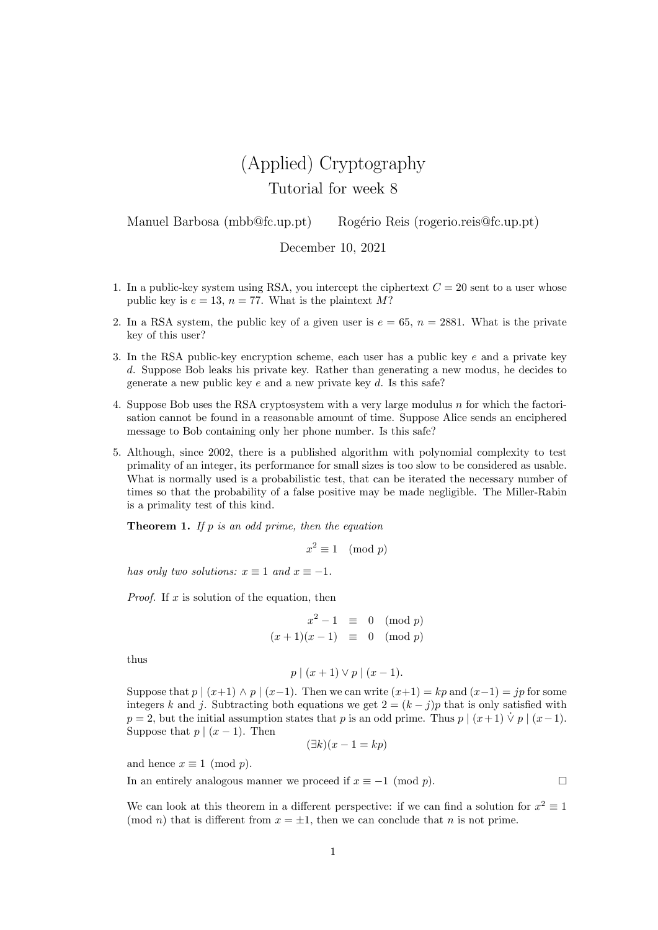## (Applied) Cryptography Tutorial for week 8

Manuel Barbosa (mbb@fc.up.pt) Rogério Reis (rogerio.reis@fc.up.pt)

December 10, 2021

- 1. In a public-key system using RSA, you intercept the ciphertext  $C = 20$  sent to a user whose public key is  $e = 13$ ,  $n = 77$ . What is the plaintext M?
- 2. In a RSA system, the public key of a given user is  $e = 65$ ,  $n = 2881$ . What is the private key of this user?
- 3. In the RSA public-key encryption scheme, each user has a public key *e* and a private key *d*. Suppose Bob leaks his private key. Rather than generating a new modus, he decides to generate a new public key *e* and a new private key *d*. Is this safe?
- 4. Suppose Bob uses the RSA cryptosystem with a very large modulus *n* for which the factorisation cannot be found in a reasonable amount of time. Suppose Alice sends an enciphered message to Bob containing only her phone number. Is this safe?
- 5. Although, since 2002, there is a published algorithm with polynomial complexity to test primality of an integer, its performance for small sizes is too slow to be considered as usable. What is normally used is a probabilistic test, that can be iterated the necessary number of times so that the probability of a false positive may be made negligible. The Miller-Rabin is a primality test of this kind.

Theorem 1. *If p is an odd prime, then the equation*

 $x^2 \equiv 1 \pmod{p}$ 

*has only two solutions:*  $x \equiv 1$  *and*  $x \equiv -1$ *.* 

*Proof.* If *x* is solution of the equation, then

$$
x2-1 \equiv 0 \pmod{p}
$$

$$
(x+1)(x-1) \equiv 0 \pmod{p}
$$

thus

$$
p \mid (x+1) \lor p \mid (x-1).
$$

Suppose that  $p \mid (x+1) \wedge p \mid (x-1)$ . Then we can write  $(x+1) = kp$  and  $(x-1) = jp$  for some integers *k* and *j*. Subtracting both equations we get  $2 = (k - j)p$  that is only satisfied with  $p = 2$ , but the initial assumption states that *p* is an odd prime. Thus  $p \mid (x+1) \vee p \mid (x-1)$ . Suppose that  $p \mid (x-1)$ . Then

$$
(\exists k)(x - 1 = kp)
$$

and hence  $x \equiv 1 \pmod{p}$ .

In an entirely analogous manner we proceed if  $x \equiv -1 \pmod{p}$ .

We can look at this theorem in a different perspective: if we can find a solution for  $x^2 \equiv 1$ (mod *n*) that is different from  $x = \pm 1$ , then we can conclude that *n* is not prime.

 $\Box$